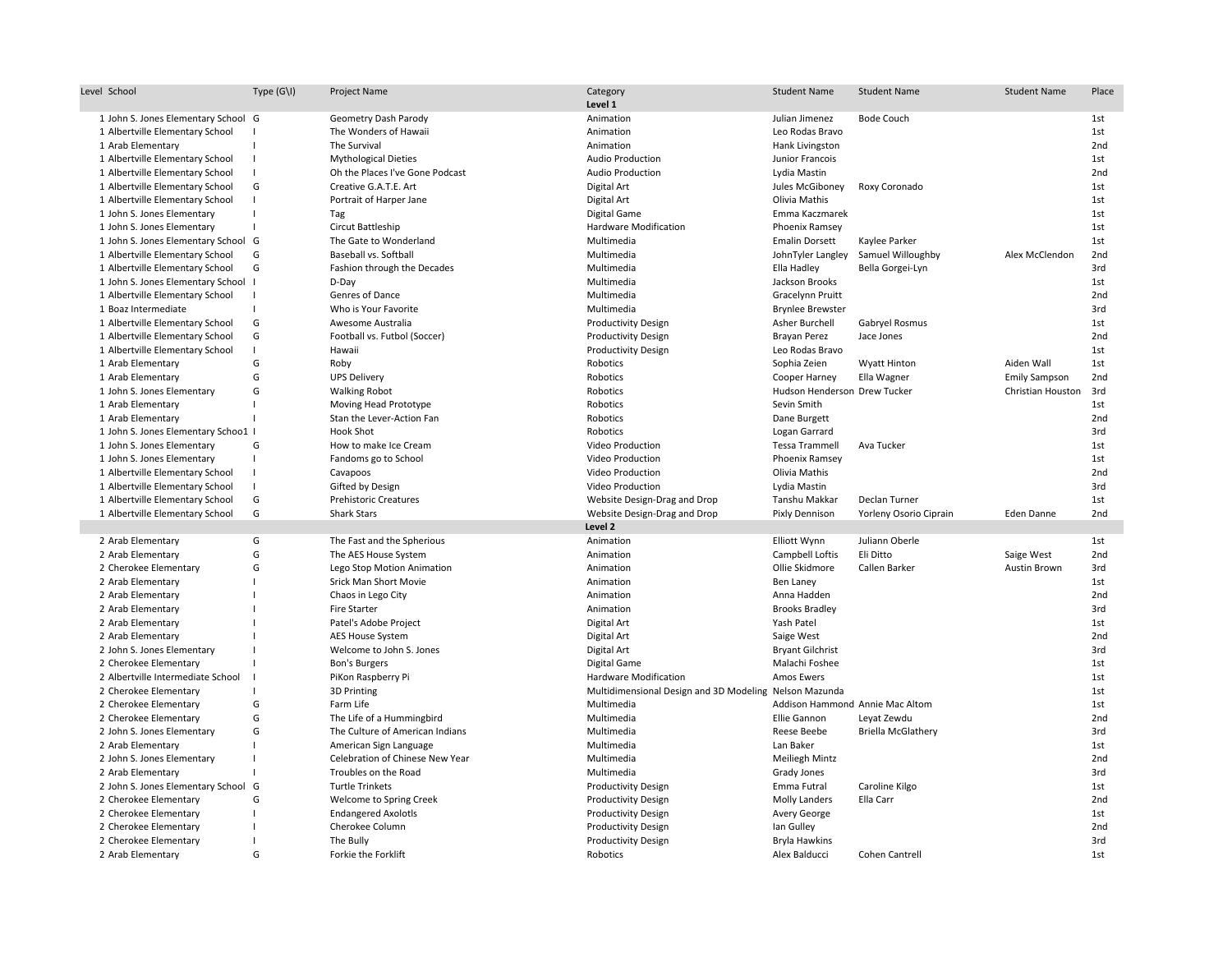| Level School                        | Type $(G\Upsilon)$ | Project Name                    | Category<br>Level 1                                    | <b>Student Name</b>             | <b>Student Name</b>       | <b>Student Name</b>  | Place           |
|-------------------------------------|--------------------|---------------------------------|--------------------------------------------------------|---------------------------------|---------------------------|----------------------|-----------------|
| 1 John S. Jones Elementary School G |                    | Geometry Dash Parody            | Animation                                              | Julian Jimenez                  | <b>Bode Couch</b>         |                      | 1st             |
| 1 Albertville Elementary School     |                    | The Wonders of Hawaii           | Animation                                              | Leo Rodas Bravo                 |                           |                      | 1st             |
| 1 Arab Elementary                   |                    | The Survival                    | Animation                                              | Hank Livingston                 |                           |                      | 2nd             |
| 1 Albertville Elementary School     | $\overline{1}$     | <b>Mythological Dieties</b>     | <b>Audio Production</b>                                | Junior Francois                 |                           |                      | 1st             |
| 1 Albertville Elementary School     | -1                 | Oh the Places I've Gone Podcast | <b>Audio Production</b>                                | Lydia Mastin                    |                           |                      | 2 <sub>nd</sub> |
| 1 Albertville Elementary School     | G                  | Creative G.A.T.E. Art           | Digital Art                                            | Jules McGiboney                 | Roxy Coronado             |                      | 1st             |
| 1 Albertville Elementary School     | $\blacksquare$     | Portrait of Harper Jane         | Digital Art                                            | Olivia Mathis                   |                           |                      | 1st             |
| 1 John S. Jones Elementary          | -1                 | Tag                             | Digital Game                                           | Emma Kaczmarek                  |                           |                      | 1st             |
| 1 John S. Jones Elementary          |                    | Circut Battleship               | <b>Hardware Modification</b>                           | Phoenix Ramsey                  |                           |                      | 1st             |
| 1 John S. Jones Elementary School G |                    | The Gate to Wonderland          | Multimedia                                             | <b>Emalin Dorsett</b>           | Kaylee Parker             |                      | 1st             |
| 1 Albertville Elementary School     | G                  | Baseball vs. Softball           | Multimedia                                             | JohnTyler Langley               | Samuel Willoughby         | Alex McClendon       | 2nd             |
| 1 Albertville Elementary School     | G                  | Fashion through the Decades     | Multimedia                                             | Ella Hadley                     | Bella Gorgei-Lyn          |                      | 3rd             |
| 1 John S. Jones Elementary School I |                    | D-Day                           | Multimedia                                             | Jackson Brooks                  |                           |                      | 1st             |
| 1 Albertville Elementary School     |                    | Genres of Dance                 | Multimedia                                             | <b>Gracelynn Pruitt</b>         |                           |                      | 2 <sub>nd</sub> |
| 1 Boaz Intermediate                 | $\mathbf{I}$       | Who is Your Favorite            | Multimedia                                             | <b>Brynlee Brewster</b>         |                           |                      | 3rd             |
| 1 Albertville Elementary School     | G                  | Awesome Australia               | <b>Productivity Design</b>                             | Asher Burchell                  | Gabryel Rosmus            |                      | 1st             |
| 1 Albertville Elementary School     | G                  | Football vs. Futbol (Soccer)    | <b>Productivity Design</b>                             | Brayan Perez                    | Jace Jones                |                      | 2nd             |
| 1 Albertville Elementary School     | $\blacksquare$     | Hawaii                          | <b>Productivity Design</b>                             | Leo Rodas Bravo                 |                           |                      | 1st             |
| 1 Arab Elementary                   | G                  | Roby                            | Robotics                                               | Sophia Zeien                    | <b>Wyatt Hinton</b>       | Aiden Wall           | 1st             |
| 1 Arab Elementary                   | G                  | <b>UPS Delivery</b>             | Robotics                                               | Cooper Harney                   | Ella Wagner               | <b>Emily Sampson</b> | 2nd             |
| 1 John S. Jones Elementary          | G                  | <b>Walking Robot</b>            | Robotics                                               | Hudson Henderson Drew Tucker    |                           | Christian Houston    | 3rd             |
| 1 Arab Elementary                   |                    | Moving Head Prototype           | Robotics                                               | Sevin Smith                     |                           |                      | 1st             |
| 1 Arab Elementary                   |                    | Stan the Lever-Action Fan       | Robotics                                               | Dane Burgett                    |                           |                      | 2nd             |
| 1 John S. Jones Elementary Schoo1 I |                    | <b>Hook Shot</b>                | Robotics                                               | Logan Garrard                   |                           |                      | 3rd             |
| 1 John S. Jones Elementary          | G                  | How to make Ice Cream           | Video Production                                       | <b>Tessa Trammell</b>           | Ava Tucker                |                      | 1st             |
| 1 John S. Jones Elementary          | $\blacksquare$     | Fandoms go to School            | Video Production                                       | Phoenix Ramsey                  |                           |                      | 1st             |
| 1 Albertville Elementary School     | $\blacksquare$     | Cavapoos                        | Video Production                                       | Olivia Mathis                   |                           |                      | 2nd             |
| 1 Albertville Elementary School     | $\blacksquare$     | Gifted by Design                | Video Production                                       | Lydia Mastin                    |                           |                      | 3rd             |
| 1 Albertville Elementary School     | G                  | <b>Prehistoric Creatures</b>    | Website Design-Drag and Drop                           | Tanshu Makkar                   | Declan Turner             |                      | 1st             |
| 1 Albertville Elementary School     | G                  | <b>Shark Stars</b>              | Website Design-Drag and Drop                           | Pixly Dennison                  | Yorleny Osorio Ciprain    | Eden Danne           | 2nd             |
|                                     |                    |                                 | Level 2                                                |                                 |                           |                      |                 |
| 2 Arab Elementary                   | G                  | The Fast and the Spherious      | Animation                                              | Elliott Wynn                    | Juliann Oberle            |                      | 1st             |
| 2 Arab Elementary                   | G                  | The AES House System            | Animation                                              | Campbell Loftis                 | Eli Ditto                 | Saige West           | 2nd             |
| 2 Cherokee Elementary               | G                  | Lego Stop Motion Animation      | Animation                                              | Ollie Skidmore                  | Callen Barker             | Austin Brown         | 3rd             |
| 2 Arab Elementary                   | -1                 | Srick Man Short Movie           | Animation                                              | Ben Laney                       |                           |                      | 1st             |
| 2 Arab Elementary                   |                    | Chaos in Lego City              | Animation                                              | Anna Hadden                     |                           |                      | 2nd             |
| 2 Arab Elementary                   | $\blacksquare$     | Fire Starter                    | Animation                                              | <b>Brooks Bradley</b>           |                           |                      | 3rd             |
| 2 Arab Elementary                   |                    | Patel's Adobe Project           | Digital Art                                            | Yash Patel                      |                           |                      | 1st             |
| 2 Arab Elementary                   |                    | AES House System                | Digital Art                                            | Saige West                      |                           |                      | 2nd             |
| 2 John S. Jones Elementary          | -1                 | Welcome to John S. Jones        | Digital Art                                            | <b>Bryant Gilchrist</b>         |                           |                      | 3rd             |
| 2 Cherokee Elementary               |                    | <b>Bon's Burgers</b>            | Digital Game                                           | Malachi Foshee                  |                           |                      | 1st             |
| 2 Albertville Intermediate School   | - 1                | PiKon Raspberry Pi              | Hardware Modification                                  | Amos Ewers                      |                           |                      | 1st             |
| 2 Cherokee Elementary               | $\mathbf{I}$       | 3D Printing                     | Multidimensional Design and 3D Modeling Nelson Mazunda |                                 |                           |                      | 1st             |
| 2 Cherokee Elementary               | G                  | Farm Life                       | Multimedia                                             | Addison Hammond Annie Mac Altom |                           |                      | 1st             |
| 2 Cherokee Elementary               | G                  | The Life of a Hummingbird       | Multimedia                                             | Ellie Gannon                    | Leyat Zewdu               |                      | 2nd             |
| 2 John S. Jones Elementary          | G                  | The Culture of American Indians | Multimedia                                             | Reese Beebe                     | <b>Briella McGlathery</b> |                      | 3rd             |
| 2 Arab Elementary                   |                    | American Sign Language          | Multimedia                                             | Lan Baker                       |                           |                      | 1st             |
| 2 John S. Jones Elementary          | $\blacksquare$     | Celebration of Chinese New Year | Multimedia                                             | <b>Meiliegh Mintz</b>           |                           |                      | 2nd             |
| 2 Arab Elementary                   |                    | Troubles on the Road            | Multimedia                                             | Grady Jones                     |                           |                      | 3rd             |
| 2 John S. Jones Elementary School G |                    | <b>Turtle Trinkets</b>          | <b>Productivity Design</b>                             | Emma Futral                     | Caroline Kilgo            |                      | 1st             |
| 2 Cherokee Elementary               | G                  | Welcome to Spring Creek         | <b>Productivity Design</b>                             | <b>Molly Landers</b>            | Ella Carr                 |                      | 2nd             |
| 2 Cherokee Elementary               | - 1                | <b>Endangered Axolotls</b>      | <b>Productivity Design</b>                             | Avery George                    |                           |                      | 1st             |
| 2 Cherokee Elementary               |                    | Cherokee Column                 | <b>Productivity Design</b>                             | lan Gulley                      |                           |                      | 2nd             |
| 2 Cherokee Elementary               |                    | The Bully                       | <b>Productivity Design</b>                             | Bryla Hawkins                   |                           |                      | 3rd             |
| 2 Arab Elementary                   | G                  | Forkie the Forklift             | Robotics                                               | Alex Balducci                   | Cohen Cantrell            |                      | 1st             |